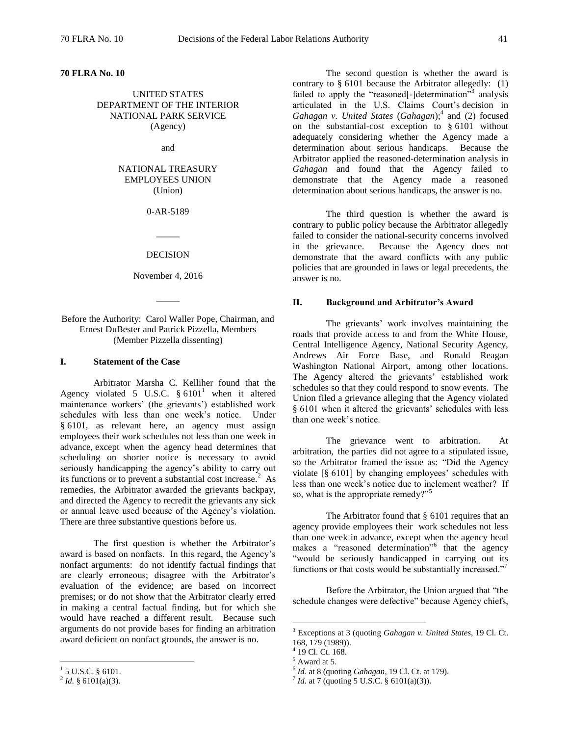#### **70 FLRA No. 10**

UNITED STATES DEPARTMENT OF THE INTERIOR NATIONAL PARK SERVICE (Agency)

and

# NATIONAL TREASURY EMPLOYEES UNION (Union)

0-AR-5189

#### DECISION

 $\overline{\phantom{a}}$ 

November 4, 2016

 $\overline{\phantom{a}}$ 

### Before the Authority: Carol Waller Pope, Chairman, and Ernest DuBester and Patrick Pizzella, Members (Member Pizzella dissenting)

#### **I. Statement of the Case**

Arbitrator Marsha C. Kelliher found that the Agency violated 5 U.S.C.  $§ 6101<sup>1</sup>$  when it altered maintenance workers' (the grievants') established work schedules with less than one week's notice. Under § 6101, as relevant here, an agency must assign employees their work schedules not less than one week in advance, except when the agency head determines that scheduling on shorter notice is necessary to avoid seriously handicapping the agency's ability to carry out its functions or to prevent a substantial cost increase.<sup>2</sup> As remedies, the Arbitrator awarded the grievants backpay, and directed the Agency to recredit the grievants any sick or annual leave used because of the Agency's violation. There are three substantive questions before us.

The first question is whether the Arbitrator's award is based on nonfacts. In this regard, the Agency's nonfact arguments: do not identify factual findings that are clearly erroneous; disagree with the Arbitrator's evaluation of the evidence; are based on incorrect premises; or do not show that the Arbitrator clearly erred in making a central factual finding, but for which she would have reached a different result. Because such arguments do not provide bases for finding an arbitration award deficient on nonfact grounds, the answer is no.

The second question is whether the award is contrary to  $§ 6101$  because the Arbitrator allegedly: (1) failed to apply the "reasoned[-]determination"<sup>3</sup> analysis articulated in the U.S. Claims Court's decision in Gahagan v. United States (Gahagan);<sup>4</sup> and (2) focused on the substantial-cost exception to § 6101 without adequately considering whether the Agency made a determination about serious handicaps. Because the Arbitrator applied the reasoned-determination analysis in *Gahagan* and found that the Agency failed to demonstrate that the Agency made a reasoned determination about serious handicaps, the answer is no.

The third question is whether the award is contrary to public policy because the Arbitrator allegedly failed to consider the national-security concerns involved in the grievance. Because the Agency does not demonstrate that the award conflicts with any public policies that are grounded in laws or legal precedents, the answer is no.

#### **II. Background and Arbitrator's Award**

The grievants' work involves maintaining the roads that provide access to and from the White House, Central Intelligence Agency, National Security Agency, Andrews Air Force Base, and Ronald Reagan Washington National Airport, among other locations. The Agency altered the grievants' established work schedules so that they could respond to snow events. The Union filed a grievance alleging that the Agency violated § 6101 when it altered the grievants' schedules with less than one week's notice.

The grievance went to arbitration. At arbitration, the parties did not agree to a stipulated issue, so the Arbitrator framed the issue as: "Did the Agency violate [§ 6101] by changing employees' schedules with less than one week's notice due to inclement weather? If so, what is the appropriate remedy?"<sup>5</sup>

The Arbitrator found that § 6101 requires that an agency provide employees their work schedules not less than one week in advance, except when the agency head makes a "reasoned determination"<sup>6</sup> that the agency "would be seriously handicapped in carrying out its functions or that costs would be substantially increased."<sup>7</sup>

Before the Arbitrator, the Union argued that "the schedule changes were defective" because Agency chiefs,

 $\overline{a}$ 

6 *Id.* at 8 (quoting *Gahagan*, 19 Cl. Ct. at 179).

 $1\overline{5}$  U.S.C. § 6101.

 $^{2}$  *Id.* § 6101(a)(3).

<sup>3</sup> Exceptions at 3 (quoting *Gahagan v. United States*, 19 Cl. Ct. 168, 179 (1989)).

<sup>4</sup> 19 Cl. Ct. 168.

 $5$  Award at 5.

<sup>7</sup> *Id.* at 7 (quoting 5 U.S.C. § 6101(a)(3)).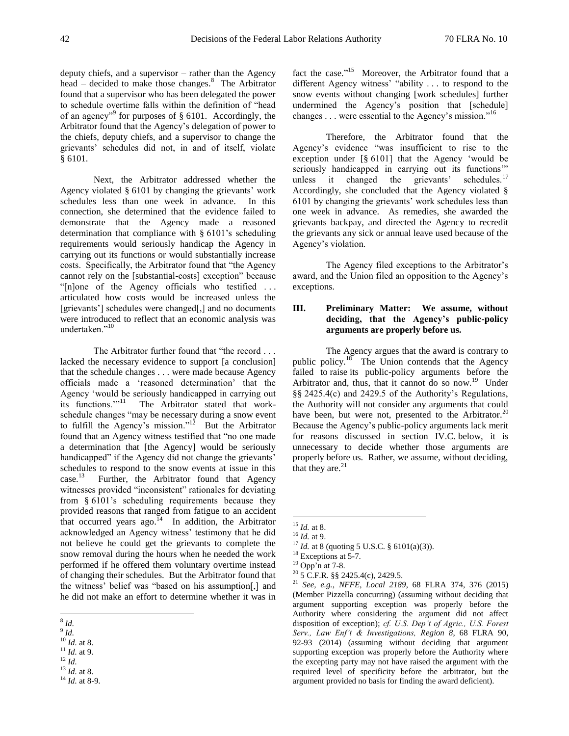deputy chiefs, and a supervisor – rather than the Agency head – decided to make those changes.<sup>8</sup> The Arbitrator found that a supervisor who has been delegated the power to schedule overtime falls within the definition of "head of an agency"<sup>9</sup> for purposes of  $\S$  6101. Accordingly, the Arbitrator found that the Agency's delegation of power to the chiefs, deputy chiefs, and a supervisor to change the grievants' schedules did not, in and of itself, violate § 6101.

Next, the Arbitrator addressed whether the Agency violated § 6101 by changing the grievants' work schedules less than one week in advance. In this connection, she determined that the evidence failed to demonstrate that the Agency made a reasoned determination that compliance with § 6101's scheduling requirements would seriously handicap the Agency in carrying out its functions or would substantially increase costs. Specifically, the Arbitrator found that "the Agency cannot rely on the [substantial-costs] exception" because "[n]one of the Agency officials who testified . . . articulated how costs would be increased unless the [grievants'] schedules were changed[,] and no documents were introduced to reflect that an economic analysis was undertaken."<sup>10</sup>

The Arbitrator further found that "the record . . . lacked the necessary evidence to support [a conclusion] that the schedule changes . . . were made because Agency officials made a 'reasoned determination' that the Agency 'would be seriously handicapped in carrying out its functions."<sup>11</sup> The Arbitrator stated that workschedule changes "may be necessary during a snow event to fulfill the Agency's mission."<sup>12</sup> But the Arbitrator found that an Agency witness testified that "no one made a determination that [the Agency] would be seriously handicapped" if the Agency did not change the grievants' schedules to respond to the snow events at issue in this  $case.<sup>13</sup>$  Further, the Arbitrator found that Agency witnesses provided "inconsistent" rationales for deviating from § 6101's scheduling requirements because they provided reasons that ranged from fatigue to an accident that occurred years ago.<sup>14</sup> In addition, the Arbitrator acknowledged an Agency witness' testimony that he did not believe he could get the grievants to complete the snow removal during the hours when he needed the work performed if he offered them voluntary overtime instead of changing their schedules. But the Arbitrator found that the witness' belief was "based on his assumption[,] and he did not make an effort to determine whether it was in

fact the case."<sup>15</sup> Moreover, the Arbitrator found that a different Agency witness' "ability . . . to respond to the snow events without changing [work schedules] further undermined the Agency's position that [schedule] changes . . . were essential to the Agency's mission."<sup>16</sup>

Therefore, the Arbitrator found that the Agency's evidence "was insufficient to rise to the exception under [§ 6101] that the Agency 'would be seriously handicapped in carrying out its functions'" unless it changed the grievants' schedules.<sup>17</sup> Accordingly, she concluded that the Agency violated § 6101 by changing the grievants' work schedules less than one week in advance. As remedies, she awarded the grievants backpay, and directed the Agency to recredit the grievants any sick or annual leave used because of the Agency's violation.

The Agency filed exceptions to the Arbitrator's award, and the Union filed an opposition to the Agency's exceptions.

# **III. Preliminary Matter: We assume, without deciding, that the Agency's public-policy arguments are properly before us.**

The Agency argues that the award is contrary to public policy.<sup>18</sup> The Union contends that the Agency failed to raise its public-policy arguments before the Arbitrator and, thus, that it cannot do so now.<sup>19</sup> Under §§ 2425.4(c) and 2429.5 of the Authority's Regulations, the Authority will not consider any arguments that could have been, but were not, presented to the Arbitrator.<sup>20</sup> Because the Agency's public-policy arguments lack merit for reasons discussed in section IV.C. below, it is unnecessary to decide whether those arguments are properly before us. Rather, we assume, without deciding, that they are. $21$ 

 8 *Id.*

<sup>9</sup> *Id.*

<sup>10</sup> *Id.* at 8.

 $11$  *Id.* at 9.

<sup>12</sup> *Id.* <sup>13</sup> *Id.* at 8.

<sup>14</sup> *Id.* at 8-9.

<sup>15</sup> *Id.* at 8.

<sup>16</sup> *Id.* at 9.

<sup>17</sup> *Id.* at 8 (quoting 5 U.S.C. § 6101(a)(3)).

<sup>&</sup>lt;sup>18</sup> Exceptions at 5-7.

<sup>19</sup> Opp'n at 7-8.

 $20\overline{5}$  C.F.R. §§ 2425.4(c), 2429.5.

<sup>21</sup> *See, e.g.*, *NFFE, Local 2189*, 68 FLRA 374, 376 (2015) (Member Pizzella concurring) (assuming without deciding that argument supporting exception was properly before the Authority where considering the argument did not affect disposition of exception); *cf. U.S. Dep't of Agric., U.S. Forest Serv., Law Enf't & Investigations, Region 8*, 68 FLRA 90, 92-93 (2014) (assuming without deciding that argument supporting exception was properly before the Authority where the excepting party may not have raised the argument with the required level of specificity before the arbitrator, but the argument provided no basis for finding the award deficient).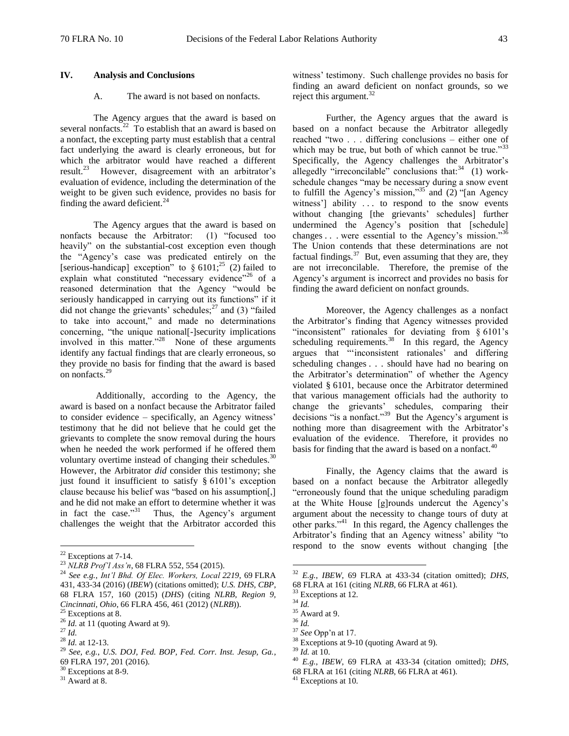## **IV. Analysis and Conclusions**

# A. The award is not based on nonfacts.

The Agency argues that the award is based on several nonfacts.<sup>22</sup> To establish that an award is based on a nonfact, the excepting party must establish that a central fact underlying the award is clearly erroneous, but for which the arbitrator would have reached a different result.<sup>23</sup> However, disagreement with an arbitrator's evaluation of evidence, including the determination of the weight to be given such evidence, provides no basis for finding the award deficient. $^{24}$ 

The Agency argues that the award is based on nonfacts because the Arbitrator: (1) "focused too heavily" on the substantial-cost exception even though the "Agency's case was predicated entirely on the [serious-handicap] exception" to  $\S 6101;^{25} (2)$  failed to explain what constituted "necessary evidence"<sup>26</sup> of a reasoned determination that the Agency "would be seriously handicapped in carrying out its functions" if it did not change the grievants' schedules; $^{27}$  and (3) "failed to take into account," and made no determinations concerning, "the unique national[-]security implications involved in this matter."<sup>28</sup> None of these arguments identify any factual findings that are clearly erroneous, so they provide no basis for finding that the award is based on nonfacts.<sup>29</sup>

Additionally, according to the Agency, the award is based on a nonfact because the Arbitrator failed to consider evidence – specifically, an Agency witness' testimony that he did not believe that he could get the grievants to complete the snow removal during the hours when he needed the work performed if he offered them voluntary overtime instead of changing their schedules. $30$ However, the Arbitrator *did* consider this testimony; she just found it insufficient to satisfy § 6101's exception clause because his belief was "based on his assumption[,] and he did not make an effort to determine whether it was in fact the case."<sup>31</sup> Thus, the Agency's argument challenges the weight that the Arbitrator accorded this

 $\overline{a}$ 

witness' testimony. Such challenge provides no basis for finding an award deficient on nonfact grounds, so we reject this argument. $32$ 

Further, the Agency argues that the award is based on a nonfact because the Arbitrator allegedly reached "two . . . differing conclusions – either one of which may be true, but both of which cannot be true." $33$ Specifically, the Agency challenges the Arbitrator's allegedly "irreconcilable" conclusions that: $34$  (1) workschedule changes "may be necessary during a snow event to fulfill the Agency's mission,"<sup>35</sup> and  $(2)$  "[an Agency witness'] ability ... to respond to the snow events without changing [the grievants' schedules] further undermined the Agency's position that [schedule] changes  $\dots$  were essential to the Agency's mission."<sup>3</sup> The Union contends that these determinations are not factual findings.<sup>37</sup> But, even assuming that they are, they are not irreconcilable. Therefore, the premise of the Agency's argument is incorrect and provides no basis for finding the award deficient on nonfact grounds.

Moreover, the Agency challenges as a nonfact the Arbitrator's finding that Agency witnesses provided "inconsistent" rationales for deviating from § 6101's scheduling requirements. $38$  In this regard, the Agency argues that "'inconsistent rationales' and differing scheduling changes . . . should have had no bearing on the Arbitrator's determination" of whether the Agency violated § 6101, because once the Arbitrator determined that various management officials had the authority to change the grievants' schedules, comparing their decisions "is a nonfact." $39$  But the Agency's argument is nothing more than disagreement with the Arbitrator's evaluation of the evidence. Therefore, it provides no basis for finding that the award is based on a nonfact. $40$ 

Finally, the Agency claims that the award is based on a nonfact because the Arbitrator allegedly "erroneously found that the unique scheduling paradigm at the White House [g]rounds undercut the Agency's argument about the necessity to change tours of duty at other parks."<sup>41</sup> In this regard, the Agency challenges the Arbitrator's finding that an Agency witness' ability "to respond to the snow events without changing [the

- <sup>37</sup> *See* Opp'n at 17.
- 

<sup>22</sup> Exceptions at 7-14.

<sup>23</sup> *NLRB Prof'l Ass'n*, 68 FLRA 552, 554 (2015).

<sup>24</sup> *See e.g.*, *Int'l Bhd. Of Elec. Workers, Local 2219*, 69 FLRA 431, 433-34 (2016) (*IBEW*) (citations omitted); *U.S. DHS, CBP*, 68 FLRA 157, 160 (2015) (*DHS*) (citing *NLRB, Region 9, Cincinnati, Ohio, 66 FLRA 456, 461 (2012) (NLRB)*.<br><sup>25</sup> Executive 1.6

 $\epsilon$  Exceptions at 8.

<sup>&</sup>lt;sup>26</sup> *Id.* at 11 (quoting Award at 9).

 $^{27}$  *Id.* 

<sup>28</sup> *Id.* at 12-13.

<sup>29</sup> *See, e.g.*, *U.S. DOJ, Fed. BOP, Fed. Corr. Inst. Jesup, Ga.*, 69 FLRA 197, 201 (2016).

<sup>&</sup>lt;sup>30</sup> Exceptions at 8-9.

 $31$  Award at 8.

<sup>32</sup> *E.g.*, *IBEW*, 69 FLRA at 433-34 (citation omitted); *DHS*, 68 FLRA at 161 (citing *NLRB*, 66 FLRA at 461).

<sup>&</sup>lt;sup>33</sup> Exceptions at 12.

<sup>34</sup> *Id.*

 $35$  Award at 9.

<sup>36</sup> *Id.* 

<sup>&</sup>lt;sup>38</sup> Exceptions at 9-10 (quoting Award at 9).

<sup>39</sup> *Id.* at 10.

<sup>40</sup> *E.g.*, *IBEW*, 69 FLRA at 433-34 (citation omitted); *DHS*,

<sup>68</sup> FLRA at 161 (citing *NLRB*, 66 FLRA at 461).

<sup>41</sup> Exceptions at 10.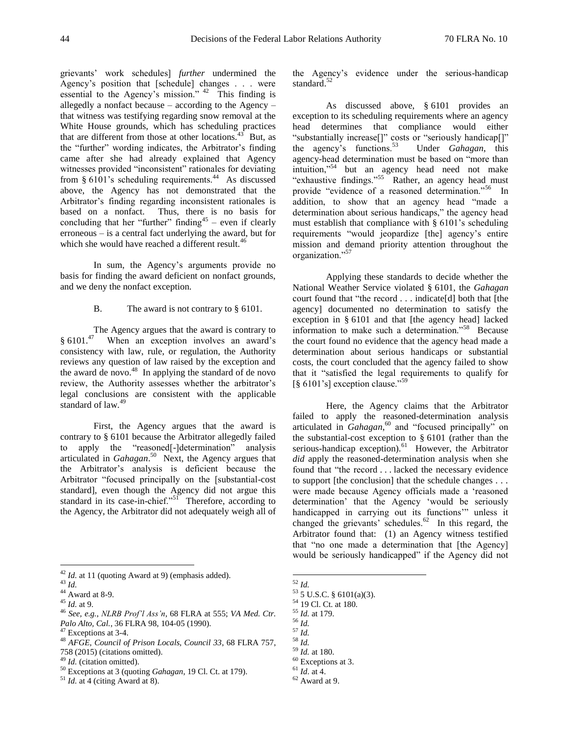grievants' work schedules] *further* undermined the Agency's position that [schedule] changes . . . were essential to the Agency's mission." <sup>42</sup> This finding is allegedly a nonfact because – according to the Agency – that witness was testifying regarding snow removal at the White House grounds, which has scheduling practices that are different from those at other locations.<sup>43</sup>  $3$  But, as the "further" wording indicates, the Arbitrator's finding came after she had already explained that Agency witnesses provided "inconsistent" rationales for deviating from § 6101's scheduling requirements.<sup>44</sup> As discussed above, the Agency has not demonstrated that the Arbitrator's finding regarding inconsistent rationales is based on a nonfact. Thus, there is no basis for concluding that her "further" finding<sup>45</sup> – even if clearly erroneous – is a central fact underlying the award, but for which she would have reached a different result.<sup>46</sup>

In sum, the Agency's arguments provide no basis for finding the award deficient on nonfact grounds, and we deny the nonfact exception.

B. The award is not contrary to § 6101.

The Agency argues that the award is contrary to § 6101.<sup>47</sup> When an exception involves an award's consistency with law, rule, or regulation, the Authority reviews any question of law raised by the exception and the award de novo.<sup>48</sup> In applying the standard of de novo review, the Authority assesses whether the arbitrator's legal conclusions are consistent with the applicable standard of law.<sup>49</sup>

First, the Agency argues that the award is contrary to § 6101 because the Arbitrator allegedly failed to apply the "reasoned[-]determination" analysis articulated in *Gahagan*. 50 Next, the Agency argues that the Arbitrator's analysis is deficient because the Arbitrator "focused principally on the [substantial-cost standard], even though the Agency did not argue this standard in its case-in-chief."<sup>51</sup> Therefore, according to the Agency, the Arbitrator did not adequately weigh all of

 $\overline{a}$ 

the Agency's evidence under the serious-handicap standard.<sup>52</sup>

As discussed above, § 6101 provides an exception to its scheduling requirements where an agency head determines that compliance would either "substantially increase[]" costs or "seriously handicap[]" the agency's functions.<sup>53</sup> Under *Gahagan*, this agency-head determination must be based on "more than intuition,"<sup>54</sup> but an agency head need not make "exhaustive findings."<sup>55</sup> Rather, an agency head must provide "evidence of a reasoned determination."<sup>56</sup> In addition, to show that an agency head "made a determination about serious handicaps," the agency head must establish that compliance with § 6101's scheduling requirements "would jeopardize [the] agency's entire mission and demand priority attention throughout the organization."<sup>57</sup>

Applying these standards to decide whether the National Weather Service violated § 6101, the *Gahagan* court found that "the record . . . indicate[d] both that [the agency] documented no determination to satisfy the exception in § 6101 and that [the agency head] lacked information to make such a determination."<sup>58</sup> Because the court found no evidence that the agency head made a determination about serious handicaps or substantial costs, the court concluded that the agency failed to show that it "satisfied the legal requirements to qualify for  $\left[\S 6101\text{′s}\right]$  exception clause."<sup>59</sup>

Here, the Agency claims that the Arbitrator failed to apply the reasoned-determination analysis articulated in *Gahagan*,<sup>60</sup> and "focused principally" on the substantial-cost exception to § 6101 (rather than the serious-handicap exception).<sup>61</sup> However, the Arbitrator *did* apply the reasoned-determination analysis when she found that "the record . . . lacked the necessary evidence to support [the conclusion] that the schedule changes . . . were made because Agency officials made a 'reasoned determination' that the Agency 'would be seriously handicapped in carrying out its functions'" unless it changed the grievants' schedules. $62$  In this regard, the Arbitrator found that: (1) an Agency witness testified that "no one made a determination that [the Agency] would be seriously handicapped" if the Agency did not

 $\overline{a}$ <sup>52</sup> *Id.*

- <sup>55</sup> *Id.* at 179.
- <sup>56</sup> *Id.*
- <sup>57</sup> *Id.*
- <sup>58</sup> *Id.*

<sup>&</sup>lt;sup>42</sup> *Id.* at 11 (quoting Award at 9) (emphasis added).

<sup>43</sup> *Id.*

 $44$  Award at 8-9.

<sup>45</sup> *Id.* at 9.

<sup>46</sup> *See, e.g.*, *NLRB Prof'l Ass'n*, 68 FLRA at 555; *VA Med. Ctr. Palo Alto, Cal.*, 36 FLRA 98, 104-05 (1990).

<sup>47</sup> Exceptions at 3-4.

<sup>48</sup> *AFGE, Council of Prison Locals, Council 33*, 68 FLRA 757, 758 (2015) (citations omitted).

<sup>49</sup> *Id.* (citation omitted).

<sup>50</sup> Exceptions at 3 (quoting *Gahagan*, 19 Cl. Ct. at 179).

<sup>51</sup> *Id.* at 4 (citing Award at 8).

<sup>53</sup> 5 U.S.C. § 6101(a)(3).

<sup>54</sup> 19 Cl. Ct. at 180.

<sup>59</sup> *Id.* at 180.

<sup>60</sup> Exceptions at 3. <sup>61</sup> *Id*. at 4.

 $62$  Award at 9.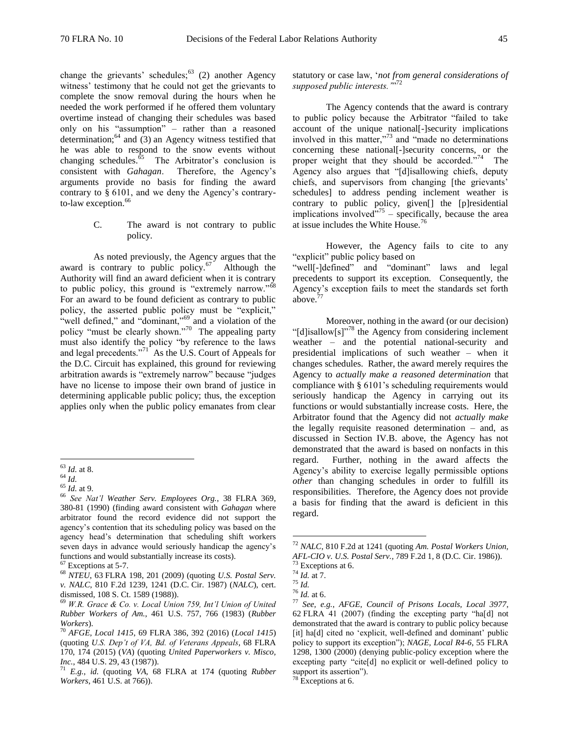change the grievants' schedules; $63$  (2) another Agency witness' testimony that he could not get the grievants to complete the snow removal during the hours when he needed the work performed if he offered them voluntary overtime instead of changing their schedules was based only on his "assumption" – rather than a reasoned determination; $^{64}$  and (3) an Agency witness testified that he was able to respond to the snow events without changing schedules.<sup>65</sup> The Arbitrator's conclusion is consistent with *Gahagan*. Therefore, the Agency's arguments provide no basis for finding the award contrary to § 6101, and we deny the Agency's contraryto-law exception.<sup>66</sup>

> C. The award is not contrary to public policy.

As noted previously, the Agency argues that the award is contrary to public policy. $67$  Although the Authority will find an award deficient when it is contrary to public policy, this ground is "extremely narrow." $\delta$ <sup>8</sup> For an award to be found deficient as contrary to public policy, the asserted public policy must be "explicit," "well defined," and "dominant,"<sup>69</sup> and a violation of the policy "must be clearly shown."<sup>70</sup> The appealing party must also identify the policy "by reference to the laws and legal precedents."<sup>71</sup> As the U.S. Court of Appeals for the D.C. Circuit has explained, this ground for reviewing arbitration awards is "extremely narrow" because "judges have no license to impose their own brand of justice in determining applicable public policy; thus, the exception applies only when the public policy emanates from clear

statutory or case law, '*not from general considerations of supposed public interests.'*" 72

The Agency contends that the award is contrary to public policy because the Arbitrator "failed to take account of the unique national[-]security implications involved in this matter,"<sup>73</sup> and "made no determinations concerning these national[-]security concerns, or the proper weight that they should be accorded."<sup>74</sup> The Agency also argues that "[d]isallowing chiefs, deputy chiefs, and supervisors from changing [the grievants' schedules] to address pending inclement weather is contrary to public policy, given[] the [p]residential implications involved $^{775}$  – specifically, because the area at issue includes the White House.<sup>76</sup>

However, the Agency fails to cite to any "explicit" public policy based on "well[-]defined" and "dominant" laws and legal precedents to support its exception. Consequently, the Agency's exception fails to meet the standards set forth above. $7$ 

Moreover, nothing in the award (or our decision) "[d]isallow[s]"<sup>78</sup> the Agency from considering inclement weather – and the potential national-security and presidential implications of such weather – when it changes schedules. Rather, the award merely requires the Agency to *actually make a reasoned determination* that compliance with § 6101's scheduling requirements would seriously handicap the Agency in carrying out its functions or would substantially increase costs. Here, the Arbitrator found that the Agency did not *actually make* the legally requisite reasoned determination – and, as discussed in Section IV.B. above, the Agency has not demonstrated that the award is based on nonfacts in this regard. Further, nothing in the award affects the Agency's ability to exercise legally permissible options *other* than changing schedules in order to fulfill its responsibilities. Therefore, the Agency does not provide a basis for finding that the award is deficient in this regard.

 $\overline{a}$ <sup>63</sup> *Id.* at 8.

 $^{64}$  *Id.* 

<sup>65</sup> *Id.* at 9.

<sup>66</sup> *See Nat'l Weather Serv. Employees Org.*, 38 FLRA 369, 380-81 (1990) (finding award consistent with *Gahagan* where arbitrator found the record evidence did not support the agency's contention that its scheduling policy was based on the agency head's determination that scheduling shift workers seven days in advance would seriously handicap the agency's functions and would substantially increase its costs).

Exceptions at 5-7.

<sup>68</sup> *NTEU*, 63 FLRA 198, 201 (2009) (quoting *U.S. Postal Serv. v. NALC*, 810 F.2d 1239, 1241 (D.C. Cir. 1987) (*NALC*), cert. dismissed, 108 S. Ct. 1589 (1988)).

<sup>69</sup> *W.R. Grace & Co. v. Local Union 759, Int'l Union of United Rubber Workers of Am.*, 461 U.S. 757, 766 (1983) (*Rubber Workers*).

<sup>70</sup> *AFGE, Local 1415*, 69 FLRA 386, 392 (2016) (*Local 1415*) (quoting *U.S. Dep't of VA, Bd. of Veterans Appeals*, 68 FLRA 170, 174 (2015) (*VA*) (quoting *United Paperworkers v. Misco, Inc.*, 484 U.S. 29, 43 (1987)).

 $71$   $E.g., id.$  (quoting *VA*, 68 FLRA at 174 (quoting *Rubber Workers*, 461 U.S. at 766)).

<sup>72</sup> *NALC*, 810 F.2d at 1241 (quoting *Am. Postal Workers Union, AFL-CIO v. U.S. Postal Serv.*, 789 F.2d 1, 8 (D.C. Cir. 1986)).

Exceptions at 6.

<sup>74</sup> *Id.* at 7.

<sup>75</sup> *Id.*

<sup>76</sup> *Id.* at 6.

<sup>77</sup> *See, e.g.*, *AFGE, Council of Prisons Locals, Local 3977*, 62 FLRA 41 (2007) (finding the excepting party "ha[d] not demonstrated that the award is contrary to public policy because [it] ha[d] cited no 'explicit, well-defined and dominant' public policy to support its exception"); *NAGE, Local R4-6*, 55 FLRA 1298, 1300 (2000) (denying public-policy exception where the excepting party "cite[d] no explicit or well-defined policy to support its assertion").

<sup>78</sup> Exceptions at 6.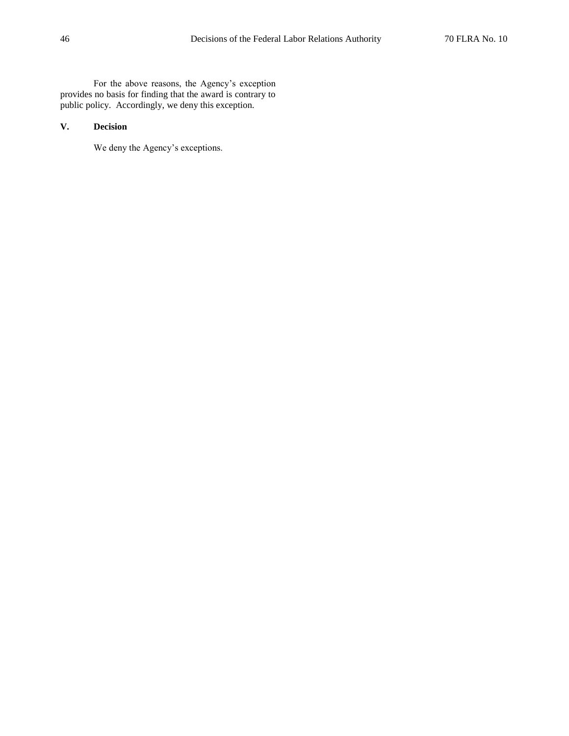For the above reasons, the Agency's exception provides no basis for finding that the award is contrary to public policy. Accordingly, we deny this exception.

# **V. Decision**

We deny the Agency's exceptions.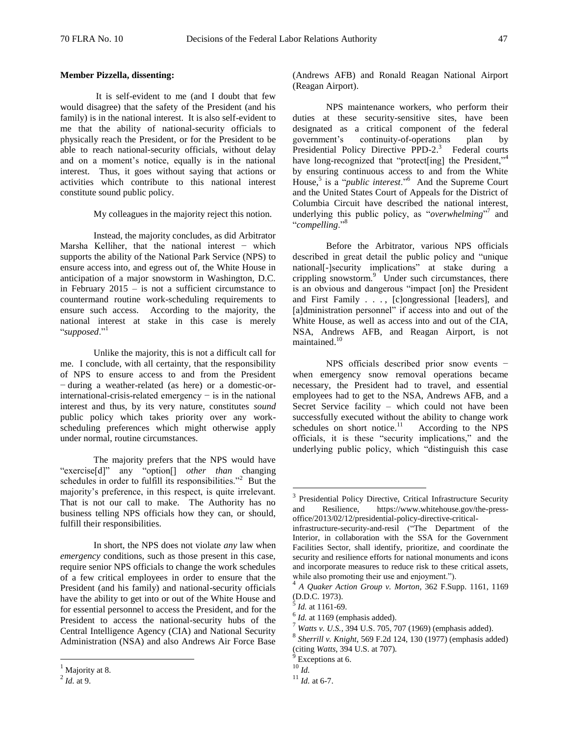#### **Member Pizzella, dissenting:**

It is self-evident to me (and I doubt that few would disagree) that the safety of the President (and his family) is in the national interest. It is also self-evident to me that the ability of national-security officials to physically reach the President, or for the President to be able to reach national-security officials, without delay and on a moment's notice, equally is in the national interest. Thus, it goes without saying that actions or activities which contribute to this national interest constitute sound public policy.

My colleagues in the majority reject this notion.

Instead, the majority concludes, as did Arbitrator Marsha Kelliher, that the national interest − which supports the ability of the National Park Service (NPS) to ensure access into, and egress out of, the White House in anticipation of a major snowstorm in Washington, D.C. in February  $2015 -$  is not a sufficient circumstance to countermand routine work-scheduling requirements to ensure such access. According to the majority, the national interest at stake in this case is merely "*supposed*."<sup>1</sup>

Unlike the majority, this is not a difficult call for me. I conclude, with all certainty, that the responsibility of NPS to ensure access to and from the President − during a weather-related (as here) or a domestic-orinternational-crisis-related emergency − is in the national interest and thus, by its very nature, constitutes *sound* public policy which takes priority over any workscheduling preferences which might otherwise apply under normal, routine circumstances.

The majority prefers that the NPS would have "exercise[d]" any "option[] *other than* changing schedules in order to fulfill its responsibilities."<sup>2</sup> But the majority's preference, in this respect, is quite irrelevant. That is not our call to make. The Authority has no business telling NPS officials how they can, or should, fulfill their responsibilities.

In short, the NPS does not violate *any* law when *emergency* conditions, such as those present in this case, require senior NPS officials to change the work schedules of a few critical employees in order to ensure that the President (and his family) and national-security officials have the ability to get into or out of the White House and for essential personnel to access the President, and for the President to access the national-security hubs of the Central Intelligence Agency (CIA) and National Security Administration (NSA) and also Andrews Air Force Base

 $\overline{a}$ 

(Andrews AFB) and Ronald Reagan National Airport (Reagan Airport).

NPS maintenance workers, who perform their duties at these security-sensitive sites, have been designated as a critical component of the federal government's continuity-of-operations plan by Presidential Policy Directive PPD-2.<sup>3</sup> Federal courts have long-recognized that "protect[ing] the President,"<sup>4</sup> by ensuring continuous access to and from the White House,<sup>5</sup> is a "*public interest*."<sup>6</sup> And the Supreme Court and the United States Court of Appeals for the District of Columbia Circuit have described the national interest, underlying this public policy, as "overwhelming"<sup>7</sup> and "*compelling*."<sup>8</sup>

Before the Arbitrator, various NPS officials described in great detail the public policy and "unique national[-]security implications" at stake during a crippling snowstorm.<sup>9</sup> Under such circumstances, there is an obvious and dangerous "impact [on] the President and First Family . . . , [c]ongressional [leaders], and [a]dministration personnel" if access into and out of the White House, as well as access into and out of the CIA, NSA, Andrews AFB, and Reagan Airport, is not maintained.<sup>10</sup>

NPS officials described prior snow events − when emergency snow removal operations became necessary, the President had to travel, and essential employees had to get to the NSA, Andrews AFB, and a Secret Service facility – which could not have been successfully executed without the ability to change work schedules on short notice.<sup>11</sup> According to the NPS officials, it is these "security implications," and the underlying public policy, which "distinguish this case

 $<sup>1</sup>$  Majority at 8.</sup>

 $^2$  *Id.* at 9.

<sup>&</sup>lt;sup>3</sup> Presidential Policy Directive, Critical Infrastructure Security and Resilience, https://www.whitehouse.gov/the-pressoffice/2013/02/12/presidential-policy-directive-critical-

infrastructure-security-and-resil ("The Department of the Interior, in collaboration with the SSA for the Government Facilities Sector, shall identify, prioritize, and coordinate the security and resilience efforts for national monuments and icons and incorporate measures to reduce risk to these critical assets, while also promoting their use and enjoyment.").

<sup>4</sup> *A Quaker Action Group v. Morton*, 362 F.Supp. 1161, 1169 (D.D.C. 1973).

<sup>5</sup> *Id.* at 1161-69.

 $<sup>6</sup>$  *Id.* at 1169 (emphasis added).</sup>

<sup>7</sup> *Watts v. U.S.*, 394 U.S. 705, 707 (1969) (emphasis added).

<sup>8</sup> *Sherrill v. Knight*, 569 F.2d 124, 130 (1977) (emphasis added) (citing *Watts*, 394 U.S. at 707).

<sup>9</sup> Exceptions at 6.

<sup>10</sup> *Id.*

<sup>11</sup> *Id.* at 6-7.